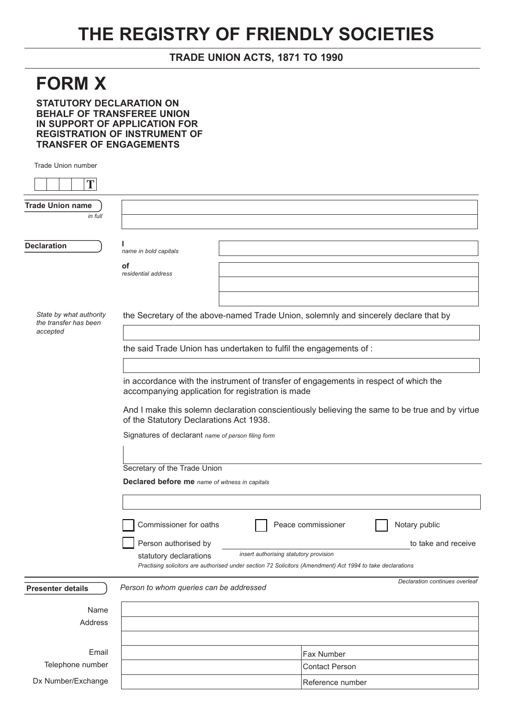## **THE REGISTRY OF FRIENDLY SOCIETIES**

## **TRADE UNION ACTS, 1871 TO 1990**

## **FORM X**

**STATUTORY DECLARATION ON BEHALF OF TRANSFEREE UNION IN SUPPORT OF APPLICATION FOR REGISTRATION OF INSTRUMENT OF TRANSFER OF ENGAGEMENTS**

Trade Union number

| T                                                            |                                                                   |                                                                                      |                                                                                                            |  |  |  |
|--------------------------------------------------------------|-------------------------------------------------------------------|--------------------------------------------------------------------------------------|------------------------------------------------------------------------------------------------------------|--|--|--|
| <b>Trade Union name</b>                                      |                                                                   |                                                                                      |                                                                                                            |  |  |  |
| in full                                                      |                                                                   |                                                                                      |                                                                                                            |  |  |  |
|                                                              |                                                                   |                                                                                      |                                                                                                            |  |  |  |
| <b>Declaration</b>                                           | name in bold capitals                                             |                                                                                      |                                                                                                            |  |  |  |
|                                                              | οf                                                                |                                                                                      |                                                                                                            |  |  |  |
|                                                              | residential address                                               |                                                                                      |                                                                                                            |  |  |  |
|                                                              |                                                                   |                                                                                      |                                                                                                            |  |  |  |
|                                                              |                                                                   |                                                                                      |                                                                                                            |  |  |  |
| State by what authority<br>the transfer has been<br>accepted |                                                                   | the Secretary of the above-named Trade Union, solemnly and sincerely declare that by |                                                                                                            |  |  |  |
|                                                              | the said Trade Union has undertaken to fulfil the engagements of: |                                                                                      |                                                                                                            |  |  |  |
|                                                              |                                                                   |                                                                                      |                                                                                                            |  |  |  |
|                                                              |                                                                   |                                                                                      | in accordance with the instrument of transfer of engagements in respect of which the                       |  |  |  |
|                                                              | accompanying application for registration is made                 |                                                                                      |                                                                                                            |  |  |  |
|                                                              |                                                                   |                                                                                      | And I make this solemn declaration conscientiously believing the same to be true and by virtue             |  |  |  |
|                                                              | of the Statutory Declarations Act 1938.                           |                                                                                      |                                                                                                            |  |  |  |
|                                                              | Signatures of declarant name of person filing form                |                                                                                      |                                                                                                            |  |  |  |
|                                                              |                                                                   |                                                                                      |                                                                                                            |  |  |  |
|                                                              |                                                                   |                                                                                      |                                                                                                            |  |  |  |
|                                                              | Secretary of the Trade Union                                      |                                                                                      |                                                                                                            |  |  |  |
|                                                              | Declared before me name of witness in capitals                    |                                                                                      |                                                                                                            |  |  |  |
|                                                              |                                                                   |                                                                                      |                                                                                                            |  |  |  |
|                                                              | Commissioner for oaths                                            |                                                                                      | Notary public<br>Peace commissioner                                                                        |  |  |  |
|                                                              |                                                                   |                                                                                      |                                                                                                            |  |  |  |
|                                                              | Person authorised by                                              |                                                                                      | to take and receive                                                                                        |  |  |  |
|                                                              | statutory declarations                                            | insert authorising statutory provision                                               | Practising solicitors are authorised under section 72 Solicitors (Amendment) Act 1994 to take declarations |  |  |  |
|                                                              |                                                                   |                                                                                      |                                                                                                            |  |  |  |
| <b>Presenter details</b>                                     | Person to whom queries can be addressed                           |                                                                                      | Declaration continues overleaf                                                                             |  |  |  |
| Name                                                         |                                                                   |                                                                                      |                                                                                                            |  |  |  |
| Address                                                      |                                                                   |                                                                                      |                                                                                                            |  |  |  |
|                                                              |                                                                   |                                                                                      |                                                                                                            |  |  |  |
| Email                                                        |                                                                   |                                                                                      | Fax Number                                                                                                 |  |  |  |
| Telephone number                                             |                                                                   |                                                                                      | <b>Contact Person</b>                                                                                      |  |  |  |
| Dx Number/Exchange                                           |                                                                   |                                                                                      | Reference number                                                                                           |  |  |  |
|                                                              |                                                                   |                                                                                      |                                                                                                            |  |  |  |